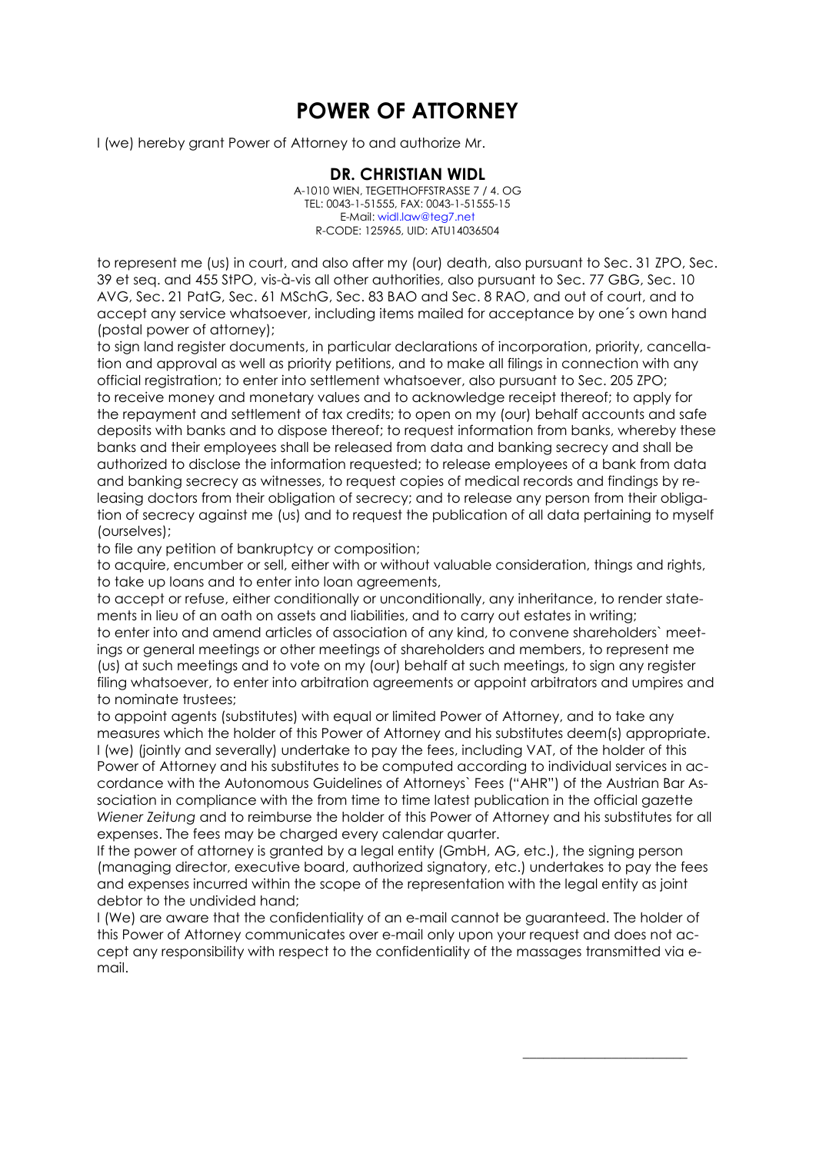## **POWER OF ATTORNEY**

I (we) hereby grant Power of Attorney to and authorize Mr.

**DR. CHRISTIAN WIDL** A-1010 WIEN, TEGETTHOFFSTRASSE 7 / 4. OG TEL: 0043-1-51555, FAX: 0043-1-51555-15 E-Mail: widl.law@teg7.net R-CODE: 125965, UID: ATU14036504

to represent me (us) in court, and also after my (our) death, also pursuant to Sec. 31 ZPO, Sec. 39 et seq. and 455 StPO, vis-à-vis all other authorities, also pursuant to Sec. 77 GBG, Sec. 10 AVG, Sec. 21 PatG, Sec. 61 MSchG, Sec. 83 BAO and Sec. 8 RAO, and out of court, and to accept any service whatsoever, including items mailed for acceptance by one´s own hand (postal power of attorney);

to sign land register documents, in particular declarations of incorporation, priority, cancellation and approval as well as priority petitions, and to make all filings in connection with any official registration; to enter into settlement whatsoever, also pursuant to Sec. 205 ZPO; to receive money and monetary values and to acknowledge receipt thereof; to apply for the repayment and settlement of tax credits; to open on my (our) behalf accounts and safe deposits with banks and to dispose thereof; to request information from banks, whereby these banks and their employees shall be released from data and banking secrecy and shall be authorized to disclose the information requested; to release employees of a bank from data and banking secrecy as witnesses, to request copies of medical records and findings by releasing doctors from their obligation of secrecy; and to release any person from their obligation of secrecy against me (us) and to request the publication of all data pertaining to myself (ourselves);

to file any petition of bankruptcy or composition;

to acauire, encumber or sell, either with or without valuable consideration, things and rights, to take up loans and to enter into loan agreements,

to accept or refuse, either conditionally or unconditionally, any inheritance, to render statements in lieu of an oath on assets and liabilities, and to carry out estates in writing;

to enter into and amend articles of association of any kind, to convene shareholders` meetings or general meetings or other meetings of shareholders and members, to represent me (us) at such meetings and to vote on my (our) behalf at such meetings, to sign any register filing whatsoever, to enter into arbitration agreements or appoint arbitrators and umpires and to nominate trustees;

to appoint agents (substitutes) with equal or limited Power of Attorney, and to take any measures which the holder of this Power of Attorney and his substitutes deem(s) appropriate. I (we) (jointly and severally) undertake to pay the fees, including VAT, of the holder of this Power of Attorney and his substitutes to be computed according to individual services in accordance with the Autonomous Guidelines of Attorneys` Fees ("AHR") of the Austrian Bar Association in compliance with the from time to time latest publication in the official gazette *Wiener Zeitung* and to reimburse the holder of this Power of Attorney and his substitutes for all expenses. The fees may be charged every calendar quarter.

If the power of attorney is granted by a legal entity (GmbH, AG, etc.), the signing person (managing director, executive board, authorized signatory, etc.) undertakes to pay the fees and expenses incurred within the scope of the representation with the legal entity as joint debtor to the undivided hand;

I (We) are aware that the confidentiality of an e-mail cannot be guaranteed. The holder of this Power of Attorney communicates over e-mail only upon your request and does not accept any responsibility with respect to the confidentiality of the massages transmitted via email.

\_\_\_\_\_\_\_\_\_\_\_\_\_\_\_\_\_\_\_\_\_\_\_\_